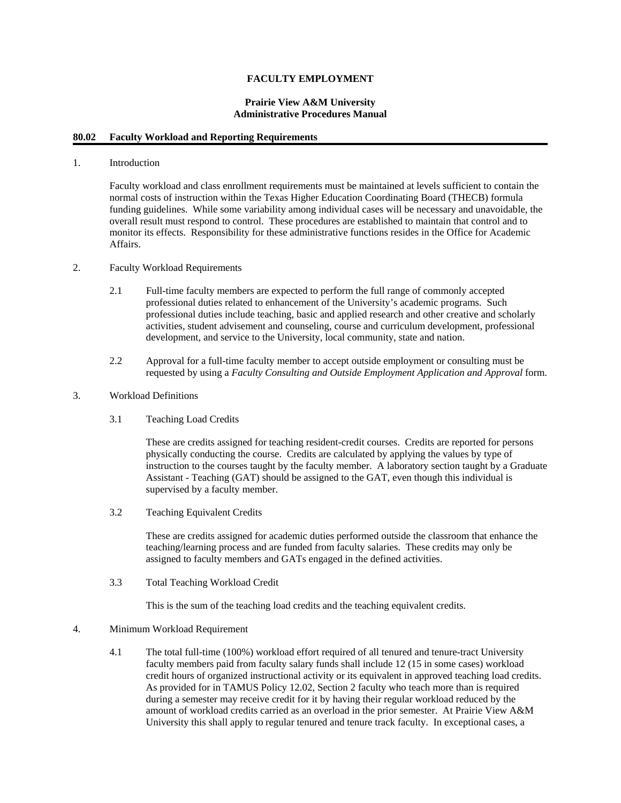## **FACULTY EMPLOYMENT**

#### **Prairie View A&M University Administrative Procedures Manual**

#### **80.02 Faculty Workload and Reporting Requirements**

## 1. Introduction

Faculty workload and class enrollment requirements must be maintained at levels sufficient to contain the normal costs of instruction within the Texas Higher Education Coordinating Board (THECB) formula funding guidelines. While some variability among individual cases will be necessary and unavoidable, the overall result must respond to control. These procedures are established to maintain that control and to monitor its effects. Responsibility for these administrative functions resides in the Office for Academic Affairs.

- 2. Faculty Workload Requirements
	- 2.1 Full-time faculty members are expected to perform the full range of commonly accepted professional duties related to enhancement of the University's academic programs. Such professional duties include teaching, basic and applied research and other creative and scholarly activities, student advisement and counseling, course and curriculum development, professional development, and service to the University, local community, state and nation.
	- 2.2 Approval for a full-time faculty member to accept outside employment or consulting must be requested by using a *Faculty Consulting and Outside Employment Application and Approval* form.

## 3. Workload Definitions

3.1 Teaching Load Credits

These are credits assigned for teaching resident-credit courses. Credits are reported for persons physically conducting the course. Credits are calculated by applying the values by type of instruction to the courses taught by the faculty member. A laboratory section taught by a Graduate Assistant - Teaching (GAT) should be assigned to the GAT, even though this individual is supervised by a faculty member.

3.2 Teaching Equivalent Credits

These are credits assigned for academic duties performed outside the classroom that enhance the teaching/learning process and are funded from faculty salaries. These credits may only be assigned to faculty members and GATs engaged in the defined activities.

3.3 Total Teaching Workload Credit

This is the sum of the teaching load credits and the teaching equivalent credits.

#### 4. Minimum Workload Requirement

4.1 The total full-time (100%) workload effort required of all tenured and tenure-tract University faculty members paid from faculty salary funds shall include 12 (15 in some cases) workload credit hours of organized instructional activity or its equivalent in approved teaching load credits. As provided for in TAMUS Policy 12.02, Section 2 faculty who teach more than is required during a semester may receive credit for it by having their regular workload reduced by the amount of workload credits carried as an overload in the prior semester. At Prairie View A&M University this shall apply to regular tenured and tenure track faculty. In exceptional cases, a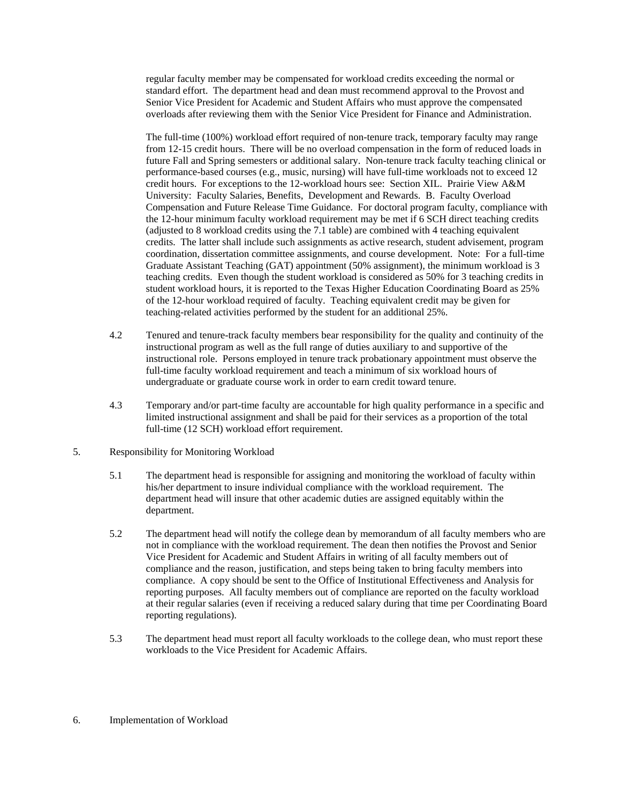regular faculty member may be compensated for workload credits exceeding the normal or standard effort. The department head and dean must recommend approval to the Provost and Senior Vice President for Academic and Student Affairs who must approve the compensated overloads after reviewing them with the Senior Vice President for Finance and Administration.

The full-time (100%) workload effort required of non-tenure track, temporary faculty may range from 12-15 credit hours. There will be no overload compensation in the form of reduced loads in future Fall and Spring semesters or additional salary. Non-tenure track faculty teaching clinical or performance-based courses (e.g., music, nursing) will have full-time workloads not to exceed 12 credit hours. For exceptions to the 12-workload hours see: Section XIL. Prairie View A&M University: Faculty Salaries, Benefits, Development and Rewards. B. Faculty Overload Compensation and Future Release Time Guidance. For doctoral program faculty, compliance with the 12-hour minimum faculty workload requirement may be met if 6 SCH direct teaching credits (adjusted to 8 workload credits using the 7.1 table) are combined with 4 teaching equivalent credits. The latter shall include such assignments as active research, student advisement, program coordination, dissertation committee assignments, and course development. Note: For a full-time Graduate Assistant Teaching (GAT) appointment (50% assignment), the minimum workload is 3 teaching credits. Even though the student workload is considered as 50% for 3 teaching credits in student workload hours, it is reported to the Texas Higher Education Coordinating Board as 25% of the 12-hour workload required of faculty. Teaching equivalent credit may be given for teaching-related activities performed by the student for an additional 25%.

- 4.2 Tenured and tenure-track faculty members bear responsibility for the quality and continuity of the instructional program as well as the full range of duties auxiliary to and supportive of the instructional role. Persons employed in tenure track probationary appointment must observe the full-time faculty workload requirement and teach a minimum of six workload hours of undergraduate or graduate course work in order to earn credit toward tenure.
- 4.3 Temporary and/or part-time faculty are accountable for high quality performance in a specific and limited instructional assignment and shall be paid for their services as a proportion of the total full-time (12 SCH) workload effort requirement.
- 5. Responsibility for Monitoring Workload
	- 5.1 The department head is responsible for assigning and monitoring the workload of faculty within his/her department to insure individual compliance with the workload requirement. The department head will insure that other academic duties are assigned equitably within the department.
	- 5.2 The department head will notify the college dean by memorandum of all faculty members who are not in compliance with the workload requirement. The dean then notifies the Provost and Senior Vice President for Academic and Student Affairs in writing of all faculty members out of compliance and the reason, justification, and steps being taken to bring faculty members into compliance. A copy should be sent to the Office of Institutional Effectiveness and Analysis for reporting purposes. All faculty members out of compliance are reported on the faculty workload at their regular salaries (even if receiving a reduced salary during that time per Coordinating Board reporting regulations).
	- 5.3 The department head must report all faculty workloads to the college dean, who must report these workloads to the Vice President for Academic Affairs.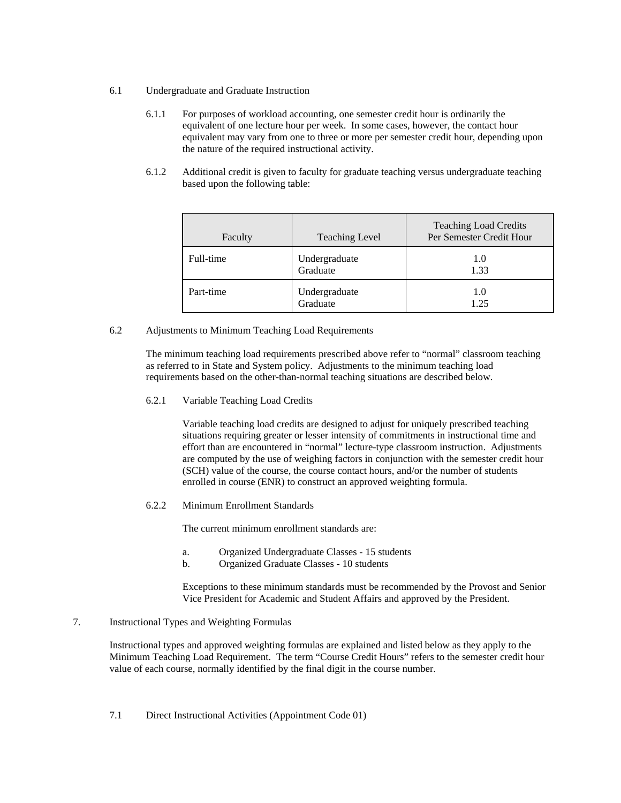- 6.1 Undergraduate and Graduate Instruction
	- 6.1.1 For purposes of workload accounting, one semester credit hour is ordinarily the equivalent of one lecture hour per week. In some cases, however, the contact hour equivalent may vary from one to three or more per semester credit hour, depending upon the nature of the required instructional activity.
	- 6.1.2 Additional credit is given to faculty for graduate teaching versus undergraduate teaching based upon the following table:

| Faculty   | <b>Teaching Level</b>     | <b>Teaching Load Credits</b><br>Per Semester Credit Hour |
|-----------|---------------------------|----------------------------------------------------------|
| Full-time | Undergraduate<br>Graduate | 1.0<br>1.33                                              |
| Part-time | Undergraduate<br>Graduate | 1.0<br>1.25                                              |

6.2 Adjustments to Minimum Teaching Load Requirements

The minimum teaching load requirements prescribed above refer to "normal" classroom teaching as referred to in State and System policy. Adjustments to the minimum teaching load requirements based on the other-than-normal teaching situations are described below.

6.2.1 Variable Teaching Load Credits

Variable teaching load credits are designed to adjust for uniquely prescribed teaching situations requiring greater or lesser intensity of commitments in instructional time and effort than are encountered in "normal" lecture-type classroom instruction. Adjustments are computed by the use of weighing factors in conjunction with the semester credit hour (SCH) value of the course, the course contact hours, and/or the number of students enrolled in course (ENR) to construct an approved weighting formula.

6.2.2 Minimum Enrollment Standards

The current minimum enrollment standards are:

- a. Organized Undergraduate Classes 15 students
- b. Organized Graduate Classes 10 students

Exceptions to these minimum standards must be recommended by the Provost and Senior Vice President for Academic and Student Affairs and approved by the President.

## 7. Instructional Types and Weighting Formulas

Instructional types and approved weighting formulas are explained and listed below as they apply to the Minimum Teaching Load Requirement. The term "Course Credit Hours" refers to the semester credit hour value of each course, normally identified by the final digit in the course number.

7.1 Direct Instructional Activities (Appointment Code 01)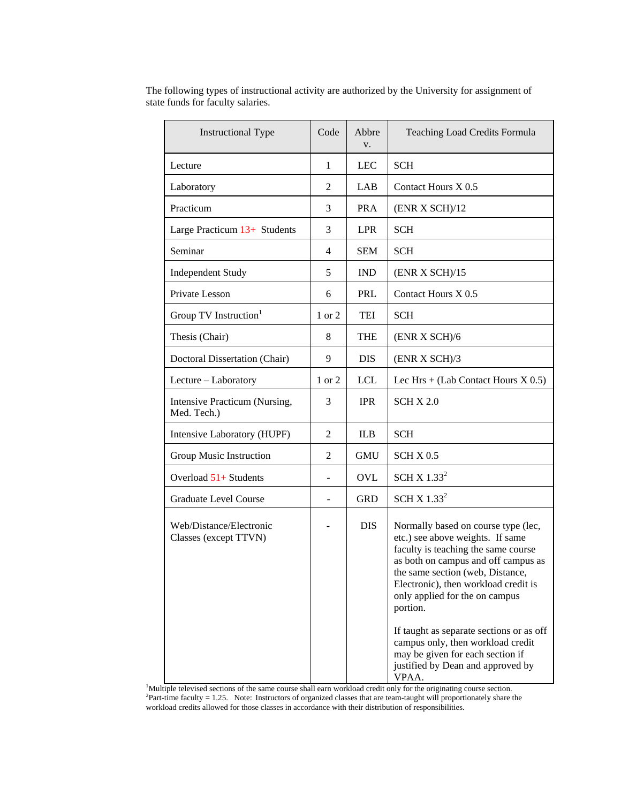| <b>Instructional Type</b>                        |                | Abbre<br>V. | Teaching Load Credits Formula                                                                                                                                                                                                                                                                                                                                                                        |
|--------------------------------------------------|----------------|-------------|------------------------------------------------------------------------------------------------------------------------------------------------------------------------------------------------------------------------------------------------------------------------------------------------------------------------------------------------------------------------------------------------------|
| Lecture                                          | 1              | <b>LEC</b>  | <b>SCH</b>                                                                                                                                                                                                                                                                                                                                                                                           |
| Laboratory                                       | $\overline{2}$ | LAB         | Contact Hours X 0.5                                                                                                                                                                                                                                                                                                                                                                                  |
| Practicum                                        | 3              | <b>PRA</b>  | (ENR X SCH)/12                                                                                                                                                                                                                                                                                                                                                                                       |
| Large Practicum 13+ Students                     | 3              | <b>LPR</b>  | <b>SCH</b>                                                                                                                                                                                                                                                                                                                                                                                           |
| Seminar                                          | 4              | <b>SEM</b>  | <b>SCH</b>                                                                                                                                                                                                                                                                                                                                                                                           |
| <b>Independent Study</b>                         | 5              | <b>IND</b>  | (ENR X SCH)/15                                                                                                                                                                                                                                                                                                                                                                                       |
| Private Lesson                                   | 6              | PRL         | Contact Hours X 0.5                                                                                                                                                                                                                                                                                                                                                                                  |
| Group TV Instruction <sup>1</sup>                | 1 or 2         | TEI         | <b>SCH</b>                                                                                                                                                                                                                                                                                                                                                                                           |
| Thesis (Chair)                                   | 8              | <b>THE</b>  | (ENR X SCH)/6                                                                                                                                                                                                                                                                                                                                                                                        |
| Doctoral Dissertation (Chair)                    | 9              | <b>DIS</b>  | (ENR X SCH)/3                                                                                                                                                                                                                                                                                                                                                                                        |
| Lecture - Laboratory                             | 1 or 2         | <b>LCL</b>  | Lec Hrs + (Lab Contact Hours $X$ 0.5)                                                                                                                                                                                                                                                                                                                                                                |
| Intensive Practicum (Nursing,<br>Med. Tech.)     | 3              | <b>IPR</b>  | <b>SCH X 2.0</b>                                                                                                                                                                                                                                                                                                                                                                                     |
| Intensive Laboratory (HUPF)                      | 2              | <b>ILB</b>  | <b>SCH</b>                                                                                                                                                                                                                                                                                                                                                                                           |
| Group Music Instruction                          | 2              | <b>GMU</b>  | SCHX 0.5                                                                                                                                                                                                                                                                                                                                                                                             |
| Overload $51+$ Students                          |                | <b>OVL</b>  | SCH X $1.332$                                                                                                                                                                                                                                                                                                                                                                                        |
| Graduate Level Course                            |                | <b>GRD</b>  | SCH X $1.332$                                                                                                                                                                                                                                                                                                                                                                                        |
| Web/Distance/Electronic<br>Classes (except TTVN) |                | <b>DIS</b>  | Normally based on course type (lec,<br>etc.) see above weights. If same<br>faculty is teaching the same course<br>as both on campus and off campus as<br>the same section (web, Distance,<br>Electronic), then workload credit is<br>only applied for the on campus<br>portion.<br>If taught as separate sections or as off<br>campus only, then workload credit<br>may be given for each section if |
|                                                  |                |             | justified by Dean and approved by<br>VPAA.                                                                                                                                                                                                                                                                                                                                                           |

The following types of instructional activity are authorized by the University for assignment of state funds for faculty salaries.

<sup>1</sup>Multiple televised sections of the same course shall earn workload credit only for the originating course section.<br><sup>2</sup>Part-time faculty = 1.25. Note: Instructors of organized classes that are team-taught will proportion workload credits allowed for those classes in accordance with their distribution of responsibilities.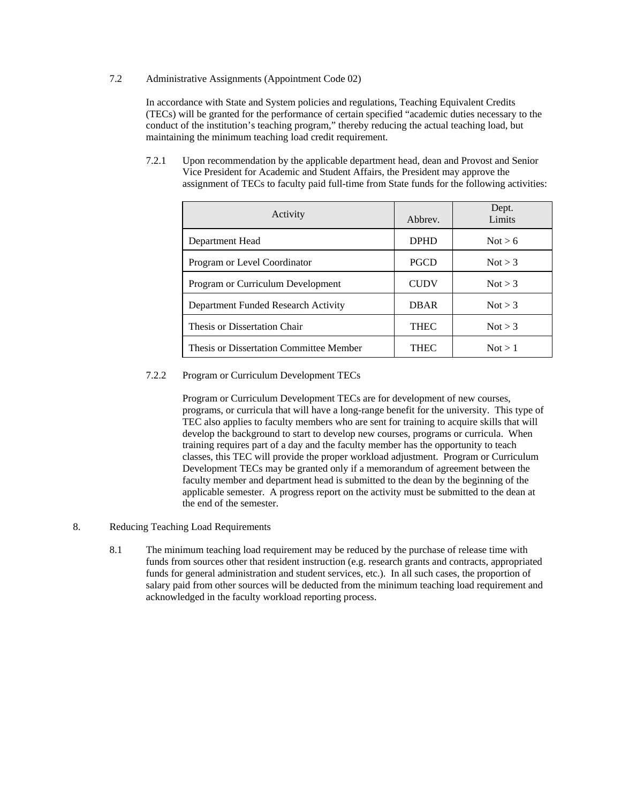7.2 Administrative Assignments (Appointment Code 02)

In accordance with State and System policies and regulations, Teaching Equivalent Credits (TECs) will be granted for the performance of certain specified "academic duties necessary to the conduct of the institution's teaching program," thereby reducing the actual teaching load, but maintaining the minimum teaching load credit requirement.

7.2.1 Upon recommendation by the applicable department head, dean and Provost and Senior Vice President for Academic and Student Affairs, the President may approve the assignment of TECs to faculty paid full-time from State funds for the following activities:

| Activity                                | Abbrey.     | Dept.<br>Limits |
|-----------------------------------------|-------------|-----------------|
| Department Head                         | <b>DPHD</b> | Not > 6         |
| Program or Level Coordinator            | <b>PGCD</b> | Not > 3         |
| Program or Curriculum Development       | <b>CUDV</b> | Not > 3         |
| Department Funded Research Activity     | <b>DBAR</b> | Not $>$ 3       |
| Thesis or Dissertation Chair            | <b>THEC</b> | Not > 3         |
| Thesis or Dissertation Committee Member | <b>THEC</b> | Not > 1         |

### 7.2.2 Program or Curriculum Development TECs

Program or Curriculum Development TECs are for development of new courses, programs, or curricula that will have a long-range benefit for the university. This type of TEC also applies to faculty members who are sent for training to acquire skills that will develop the background to start to develop new courses, programs or curricula. When training requires part of a day and the faculty member has the opportunity to teach classes, this TEC will provide the proper workload adjustment. Program or Curriculum Development TECs may be granted only if a memorandum of agreement between the faculty member and department head is submitted to the dean by the beginning of the applicable semester. A progress report on the activity must be submitted to the dean at the end of the semester.

- 8. Reducing Teaching Load Requirements
	- 8.1 The minimum teaching load requirement may be reduced by the purchase of release time with funds from sources other that resident instruction (e.g. research grants and contracts, appropriated funds for general administration and student services, etc.). In all such cases, the proportion of salary paid from other sources will be deducted from the minimum teaching load requirement and acknowledged in the faculty workload reporting process.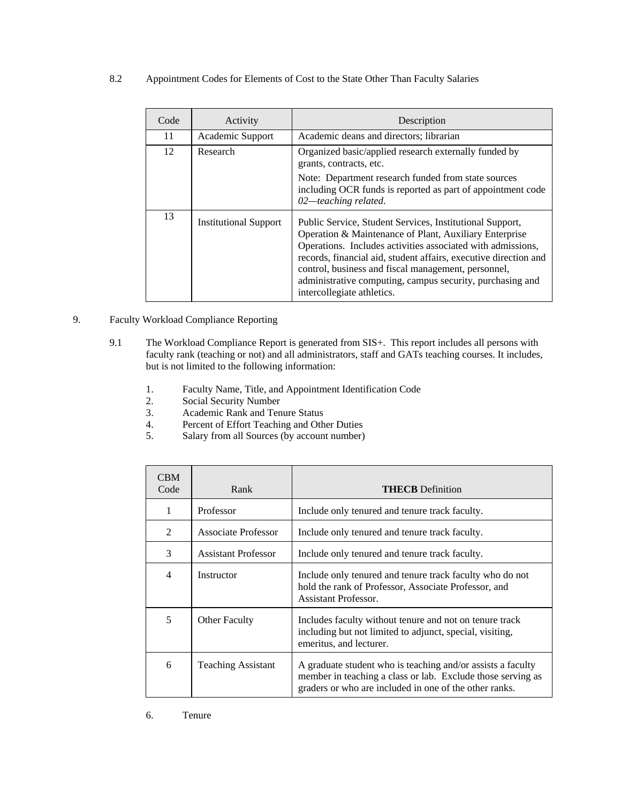8.2 Appointment Codes for Elements of Cost to the State Other Than Faculty Salaries

| Code | Activity                     | Description                                                                                                                                                                                                                                                                                                                                                                                             |
|------|------------------------------|---------------------------------------------------------------------------------------------------------------------------------------------------------------------------------------------------------------------------------------------------------------------------------------------------------------------------------------------------------------------------------------------------------|
| 11   | Academic Support             | Academic deans and directors; librarian                                                                                                                                                                                                                                                                                                                                                                 |
| 12   | Research                     | Organized basic/applied research externally funded by<br>grants, contracts, etc.<br>Note: Department research funded from state sources                                                                                                                                                                                                                                                                 |
|      |                              | including OCR funds is reported as part of appointment code<br>$02$ —teaching related.                                                                                                                                                                                                                                                                                                                  |
| 13   | <b>Institutional Support</b> | Public Service, Student Services, Institutional Support,<br>Operation & Maintenance of Plant, Auxiliary Enterprise<br>Operations. Includes activities associated with admissions,<br>records, financial aid, student affairs, executive direction and<br>control, business and fiscal management, personnel,<br>administrative computing, campus security, purchasing and<br>intercollegiate athletics. |

# 9. Faculty Workload Compliance Reporting

- 9.1 The Workload Compliance Report is generated from SIS+. This report includes all persons with faculty rank (teaching or not) and all administrators, staff and GATs teaching courses. It includes, but is not limited to the following information:
	- 1. Faculty Name, Title, and Appointment Identification Code<br>2. Social Security Number
	- 2. Social Security Number<br>3. Academic Rank and Ten
	- 3. Academic Rank and Tenure Status
	- 4. Percent of Effort Teaching and Other Duties<br>5. Salary from all Sources (by account number)
	- 5. Salary from all Sources (by account number)

| <b>CBM</b><br>Code | Rank                       | <b>THECB</b> Definition                                                                                                                                                              |
|--------------------|----------------------------|--------------------------------------------------------------------------------------------------------------------------------------------------------------------------------------|
| 1                  | Professor                  | Include only tenured and tenure track faculty.                                                                                                                                       |
| $\mathfrak{D}$     | <b>Associate Professor</b> | Include only tenured and tenure track faculty.                                                                                                                                       |
| 3                  | <b>Assistant Professor</b> | Include only tenured and tenure track faculty.                                                                                                                                       |
| 4                  | Instructor                 | Include only tenured and tenure track faculty who do not<br>hold the rank of Professor, Associate Professor, and<br>Assistant Professor.                                             |
| 5                  | <b>Other Faculty</b>       | Includes faculty without tenure and not on tenure track<br>including but not limited to adjunct, special, visiting,<br>emeritus, and lecturer.                                       |
| 6                  | <b>Teaching Assistant</b>  | A graduate student who is teaching and/or assists a faculty<br>member in teaching a class or lab. Exclude those serving as<br>graders or who are included in one of the other ranks. |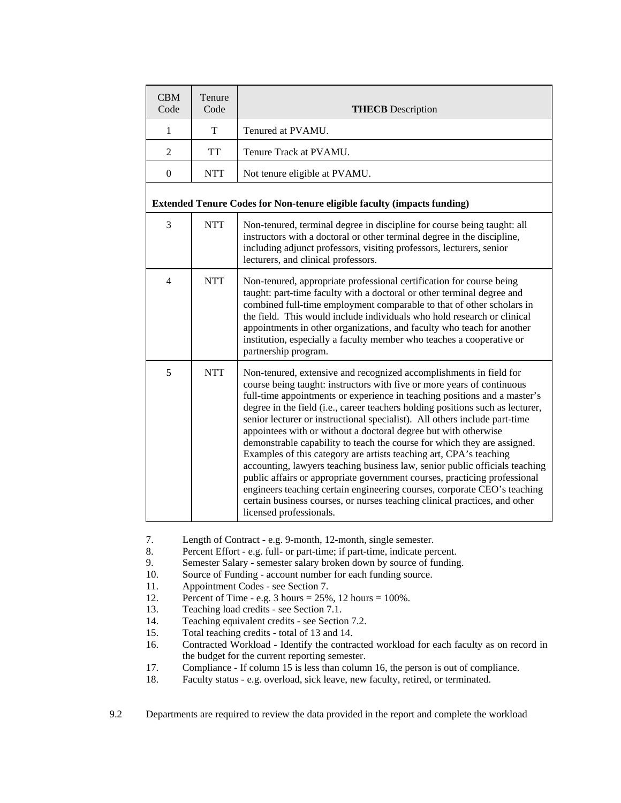| <b>CBM</b><br>Code | Tenure<br>Code | <b>THECB</b> Description                                                                                                                                                                                                                                                                                                                                                                                                                                                                                                                                                                                                                                                                                                                                                                                                                                                                                                                                        |
|--------------------|----------------|-----------------------------------------------------------------------------------------------------------------------------------------------------------------------------------------------------------------------------------------------------------------------------------------------------------------------------------------------------------------------------------------------------------------------------------------------------------------------------------------------------------------------------------------------------------------------------------------------------------------------------------------------------------------------------------------------------------------------------------------------------------------------------------------------------------------------------------------------------------------------------------------------------------------------------------------------------------------|
| 1                  | T              | Tenured at PVAMU.                                                                                                                                                                                                                                                                                                                                                                                                                                                                                                                                                                                                                                                                                                                                                                                                                                                                                                                                               |
| $\overline{2}$     | <b>TT</b>      | Tenure Track at PVAMU.                                                                                                                                                                                                                                                                                                                                                                                                                                                                                                                                                                                                                                                                                                                                                                                                                                                                                                                                          |
| $\mathbf{0}$       | <b>NTT</b>     | Not tenure eligible at PVAMU.                                                                                                                                                                                                                                                                                                                                                                                                                                                                                                                                                                                                                                                                                                                                                                                                                                                                                                                                   |
|                    |                | <b>Extended Tenure Codes for Non-tenure eligible faculty (impacts funding)</b>                                                                                                                                                                                                                                                                                                                                                                                                                                                                                                                                                                                                                                                                                                                                                                                                                                                                                  |
| 3                  | <b>NTT</b>     | Non-tenured, terminal degree in discipline for course being taught: all<br>instructors with a doctoral or other terminal degree in the discipline,<br>including adjunct professors, visiting professors, lecturers, senior<br>lecturers, and clinical professors.                                                                                                                                                                                                                                                                                                                                                                                                                                                                                                                                                                                                                                                                                               |
| 4                  | <b>NTT</b>     | Non-tenured, appropriate professional certification for course being<br>taught: part-time faculty with a doctoral or other terminal degree and<br>combined full-time employment comparable to that of other scholars in<br>the field. This would include individuals who hold research or clinical<br>appointments in other organizations, and faculty who teach for another<br>institution, especially a faculty member who teaches a cooperative or<br>partnership program.                                                                                                                                                                                                                                                                                                                                                                                                                                                                                   |
| 5                  | <b>NTT</b>     | Non-tenured, extensive and recognized accomplishments in field for<br>course being taught: instructors with five or more years of continuous<br>full-time appointments or experience in teaching positions and a master's<br>degree in the field (i.e., career teachers holding positions such as lecturer,<br>senior lecturer or instructional specialist). All others include part-time<br>appointees with or without a doctoral degree but with otherwise<br>demonstrable capability to teach the course for which they are assigned.<br>Examples of this category are artists teaching art, CPA's teaching<br>accounting, lawyers teaching business law, senior public officials teaching<br>public affairs or appropriate government courses, practicing professional<br>engineers teaching certain engineering courses, corporate CEO's teaching<br>certain business courses, or nurses teaching clinical practices, and other<br>licensed professionals. |

7. Length of Contract - e.g. 9-month, 12-month, single semester.

- 8. Percent Effort e.g. full- or part-time; if part-time, indicate percent.
- 9. Semester Salary semester salary broken down by source of funding.<br>10. Source of Funding account number for each funding source.
- Source of Funding account number for each funding source.
- 11. Appointment Codes see Section 7.
- 12. Percent of Time e.g. 3 hours =  $25\%$ , 12 hours =  $100\%$ .
- 13. Teaching load credits see Section 7.1.
- 14. Teaching equivalent credits see Section 7.2.
- 15. Total teaching credits total of 13 and 14.
- 16. Contracted Workload Identify the contracted workload for each faculty as on record in the budget for the current reporting semester.
- 17. Compliance If column 15 is less than column 16, the person is out of compliance.
- 18. Faculty status e.g. overload, sick leave, new faculty, retired, or terminated.

9.2 Departments are required to review the data provided in the report and complete the workload